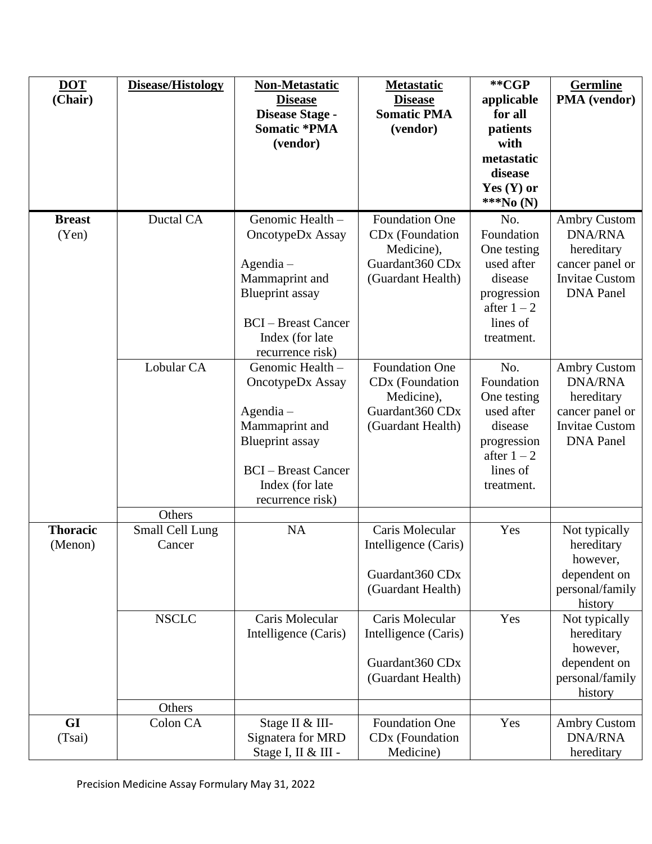| <b>DOT</b><br>(Chair)      | Disease/Histology                   | <b>Non-Metastatic</b><br><b>Disease</b><br>Disease Stage -<br><b>Somatic *PMA</b>                                                                                    | <b>Metastatic</b><br><b>Disease</b><br><b>Somatic PMA</b><br>(vendor)                                      | **CGP<br>applicable<br>for all<br>patients                                                                          | <b>Germline</b><br>PMA (vendor)                                                                                     |
|----------------------------|-------------------------------------|----------------------------------------------------------------------------------------------------------------------------------------------------------------------|------------------------------------------------------------------------------------------------------------|---------------------------------------------------------------------------------------------------------------------|---------------------------------------------------------------------------------------------------------------------|
|                            |                                     | (vendor)                                                                                                                                                             |                                                                                                            | with<br>metastatic<br>disease<br>Yes $(Y)$ or<br>***No (N)                                                          |                                                                                                                     |
| <b>Breast</b><br>(Yen)     | Ductal CA                           | Genomic Health -<br>OncotypeDx Assay<br>$Agendia -$<br>Mammaprint and<br><b>Blueprint</b> assay<br><b>BCI</b> – Breast Cancer<br>Index (for late<br>recurrence risk) | <b>Foundation One</b><br>CD <sub>x</sub> (Foundation<br>Medicine),<br>Guardant360 CDx<br>(Guardant Health) | No.<br>Foundation<br>One testing<br>used after<br>disease<br>progression<br>after $1 - 2$<br>lines of<br>treatment. | <b>Ambry Custom</b><br><b>DNA/RNA</b><br>hereditary<br>cancer panel or<br><b>Invitae Custom</b><br><b>DNA</b> Panel |
|                            | Lobular CA                          | Genomic Health -<br>OncotypeDx Assay<br>$Agendia -$<br>Mammaprint and<br><b>Blueprint</b> assay<br><b>BCI</b> – Breast Cancer<br>Index (for late<br>recurrence risk) | <b>Foundation One</b><br>CD <sub>x</sub> (Foundation<br>Medicine),<br>Guardant360 CDx<br>(Guardant Health) | No.<br>Foundation<br>One testing<br>used after<br>disease<br>progression<br>after $1 - 2$<br>lines of<br>treatment. | <b>Ambry Custom</b><br><b>DNA/RNA</b><br>hereditary<br>cancer panel or<br><b>Invitae Custom</b><br><b>DNA Panel</b> |
| <b>Thoracic</b><br>(Menon) | Others<br>Small Cell Lung<br>Cancer | NA                                                                                                                                                                   | Caris Molecular<br>Intelligence (Caris)<br>Guardant360 CDx<br>(Guardant Health)                            | Yes                                                                                                                 | Not typically<br>hereditary<br>however,<br>dependent on<br>personal/family<br>history                               |
|                            | <b>NSCLC</b>                        | Caris Molecular<br>Intelligence (Caris)                                                                                                                              | Caris Molecular<br>Intelligence (Caris)<br>Guardant360 CDx<br>(Guardant Health)                            | Yes                                                                                                                 | Not typically<br>hereditary<br>however,<br>dependent on<br>personal/family<br>history                               |
| <b>GI</b><br>(Tsai)        | Others<br>Colon CA                  | Stage II & III-<br>Signatera for MRD<br>Stage I, II & III -                                                                                                          | <b>Foundation One</b><br>CD <sub>x</sub> (Foundation<br>Medicine)                                          | Yes                                                                                                                 | <b>Ambry Custom</b><br><b>DNA/RNA</b><br>hereditary                                                                 |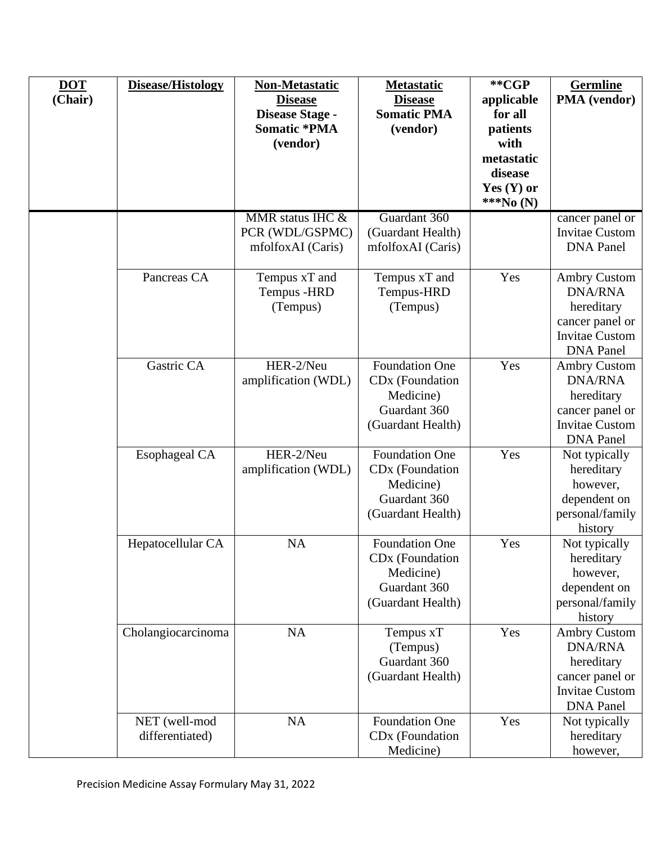| <b>DOT</b><br>(Chair) | Disease/Histology                | <b>Non-Metastatic</b><br><b>Disease</b><br>Disease Stage -<br><b>Somatic *PMA</b><br>(vendor) | <b>Metastatic</b><br><b>Disease</b><br><b>Somatic PMA</b><br>(vendor)                                  | **CGP<br>applicable<br>for all<br>patients<br>with<br>metastatic<br>disease<br>Yes $(Y)$ or<br>***No (N) | <b>Germline</b><br><b>PMA</b> (vendor)                                                                              |
|-----------------------|----------------------------------|-----------------------------------------------------------------------------------------------|--------------------------------------------------------------------------------------------------------|----------------------------------------------------------------------------------------------------------|---------------------------------------------------------------------------------------------------------------------|
|                       |                                  | MMR status IHC &<br>PCR (WDL/GSPMC)<br>mfolfoxAI (Caris)                                      | Guardant 360<br>(Guardant Health)<br>mfolfoxAI (Caris)                                                 |                                                                                                          | cancer panel or<br><b>Invitae Custom</b><br><b>DNA</b> Panel                                                        |
|                       | Pancreas CA                      | Tempus xT and<br>Tempus - HRD<br>(Tempus)                                                     | Tempus xT and<br>Tempus-HRD<br>(Tempus)                                                                | Yes                                                                                                      | <b>Ambry Custom</b><br><b>DNA/RNA</b><br>hereditary<br>cancer panel or<br><b>Invitae Custom</b><br><b>DNA</b> Panel |
|                       | Gastric CA                       | HER-2/Neu<br>amplification (WDL)                                                              | <b>Foundation One</b><br>CD <sub>x</sub> (Foundation<br>Medicine)<br>Guardant 360<br>(Guardant Health) | Yes                                                                                                      | <b>Ambry Custom</b><br><b>DNA/RNA</b><br>hereditary<br>cancer panel or<br><b>Invitae Custom</b><br><b>DNA</b> Panel |
|                       | <b>Esophageal CA</b>             | HER-2/Neu<br>amplification (WDL)                                                              | <b>Foundation One</b><br>CD <sub>x</sub> (Foundation<br>Medicine)<br>Guardant 360<br>(Guardant Health) | Yes                                                                                                      | Not typically<br>hereditary<br>however,<br>dependent on<br>personal/family<br>history                               |
|                       | Hepatocellular CA                | <b>NA</b>                                                                                     | <b>Foundation One</b><br>CD <sub>x</sub> (Foundation<br>Medicine)<br>Guardant 360<br>(Guardant Health) | Yes                                                                                                      | Not typically<br>hereditary<br>however,<br>dependent on<br>personal/family<br>history                               |
|                       | Cholangiocarcinoma               | NA                                                                                            | Tempus xT<br>(Tempus)<br>Guardant 360<br>(Guardant Health)                                             | Yes                                                                                                      | <b>Ambry Custom</b><br><b>DNA/RNA</b><br>hereditary<br>cancer panel or<br><b>Invitae Custom</b><br><b>DNA</b> Panel |
|                       | NET (well-mod<br>differentiated) | NA                                                                                            | Foundation One<br>CD <sub>x</sub> (Foundation<br>Medicine)                                             | Yes                                                                                                      | Not typically<br>hereditary<br>however,                                                                             |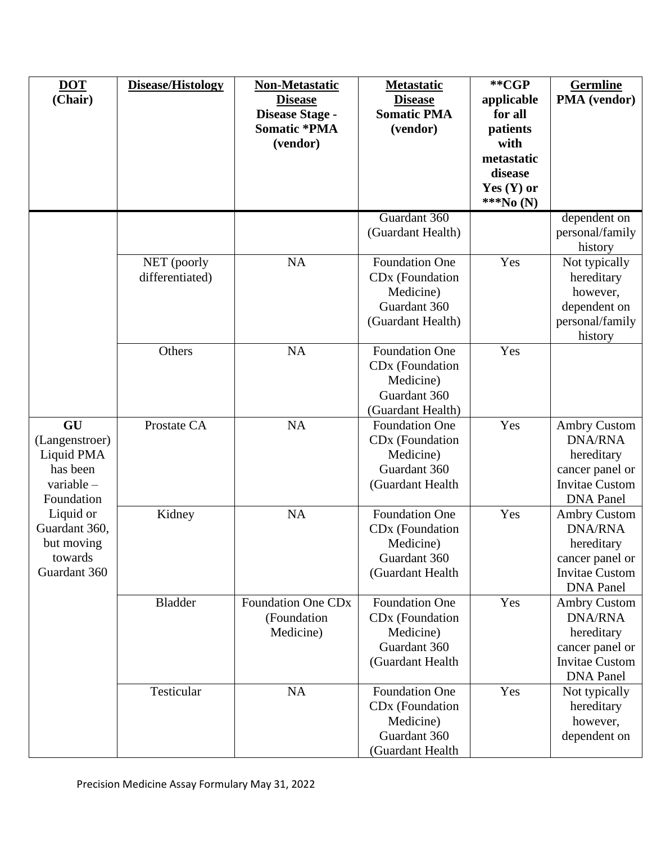| <b>DOT</b><br>(Chair)                                                                                                                             | Disease/Histology              | <b>Non-Metastatic</b><br><b>Disease</b><br>Disease Stage -<br><b>Somatic *PMA</b><br>(vendor) | <b>Metastatic</b><br><b>Disease</b><br><b>Somatic PMA</b><br>(vendor)                                  | **CGP<br>applicable<br>for all<br>patients<br>with<br>metastatic<br>disease<br>Yes $(Y)$ or<br>***No (N) | <b>Germline</b><br>PMA (vendor)                                                                                     |
|---------------------------------------------------------------------------------------------------------------------------------------------------|--------------------------------|-----------------------------------------------------------------------------------------------|--------------------------------------------------------------------------------------------------------|----------------------------------------------------------------------------------------------------------|---------------------------------------------------------------------------------------------------------------------|
|                                                                                                                                                   |                                |                                                                                               | Guardant 360<br>(Guardant Health)                                                                      |                                                                                                          | dependent on<br>personal/family<br>history                                                                          |
|                                                                                                                                                   | NET (poorly<br>differentiated) | NA                                                                                            | <b>Foundation One</b><br>CD <sub>x</sub> (Foundation<br>Medicine)<br>Guardant 360<br>(Guardant Health) | Yes                                                                                                      | Not typically<br>hereditary<br>however,<br>dependent on<br>personal/family<br>history                               |
|                                                                                                                                                   | Others                         | <b>NA</b>                                                                                     | <b>Foundation One</b><br>CD <sub>x</sub> (Foundation<br>Medicine)<br>Guardant 360<br>(Guardant Health) | Yes                                                                                                      |                                                                                                                     |
| GU<br>(Langenstroer)<br>Liquid PMA<br>has been<br>variable -<br>Foundation<br>Liquid or<br>Guardant 360,<br>but moving<br>towards<br>Guardant 360 | Prostate CA                    | <b>NA</b>                                                                                     | <b>Foundation One</b><br>CD <sub>x</sub> (Foundation<br>Medicine)<br>Guardant 360<br>(Guardant Health  | Yes                                                                                                      | <b>Ambry Custom</b><br><b>DNA/RNA</b><br>hereditary<br>cancer panel or<br><b>Invitae Custom</b><br><b>DNA</b> Panel |
|                                                                                                                                                   | Kidney                         | <b>NA</b>                                                                                     | <b>Foundation One</b><br>CD <sub>x</sub> (Foundation<br>Medicine)<br>Guardant 360<br>(Guardant Health  | Yes                                                                                                      | <b>Ambry Custom</b><br><b>DNA/RNA</b><br>hereditary<br>cancer panel or<br><b>Invitae Custom</b><br><b>DNA</b> Panel |
|                                                                                                                                                   | Bladder                        | <b>Foundation One CDx</b><br>(Foundation<br>Medicine)                                         | <b>Foundation One</b><br>CD <sub>x</sub> (Foundation<br>Medicine)<br>Guardant 360<br>(Guardant Health  | Yes                                                                                                      | <b>Ambry Custom</b><br><b>DNA/RNA</b><br>hereditary<br>cancer panel or<br><b>Invitae Custom</b><br><b>DNA</b> Panel |
|                                                                                                                                                   | Testicular                     | <b>NA</b>                                                                                     | <b>Foundation One</b><br>CD <sub>x</sub> (Foundation<br>Medicine)<br>Guardant 360<br>(Guardant Health  | Yes                                                                                                      | Not typically<br>hereditary<br>however,<br>dependent on                                                             |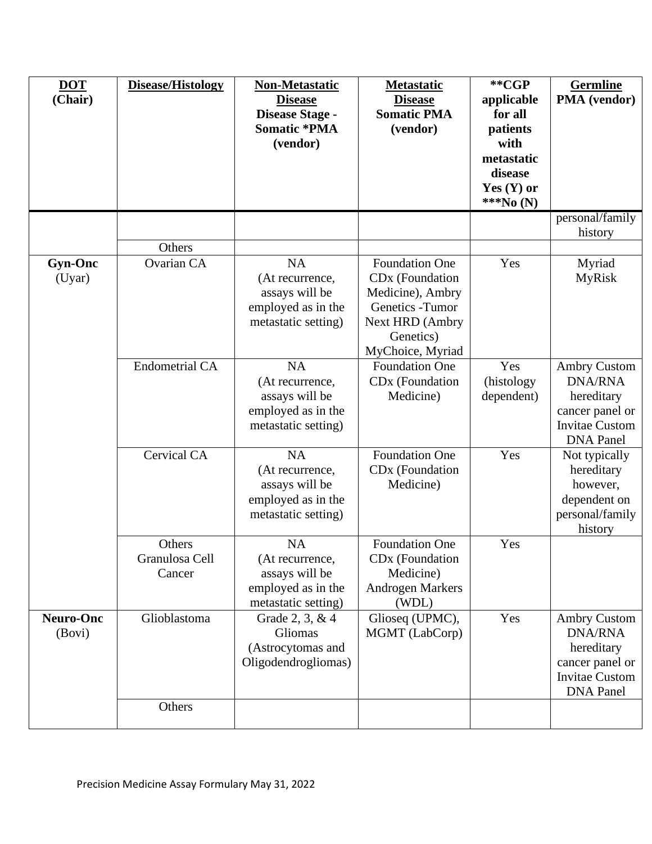| <b>DOT</b><br>(Chair)      | <b>Disease/Histology</b>           | Non-Metastatic<br><b>Disease</b><br>Disease Stage -<br><b>Somatic *PMA</b><br>(vendor)      | <b>Metastatic</b><br><b>Disease</b><br><b>Somatic PMA</b><br>(vendor)                                                                            | **CGP<br>applicable<br>for all<br>patients<br>with<br>metastatic<br>disease<br>Yes $(Y)$ or<br>***No (N) | <b>Germline</b><br>PMA (vendor)                                                                                     |
|----------------------------|------------------------------------|---------------------------------------------------------------------------------------------|--------------------------------------------------------------------------------------------------------------------------------------------------|----------------------------------------------------------------------------------------------------------|---------------------------------------------------------------------------------------------------------------------|
|                            |                                    |                                                                                             |                                                                                                                                                  |                                                                                                          | personal/family<br>history                                                                                          |
|                            | Others                             |                                                                                             |                                                                                                                                                  |                                                                                                          |                                                                                                                     |
| <b>Gyn-Onc</b><br>(Uyar)   | Ovarian CA                         | <b>NA</b><br>(At recurrence,<br>assays will be<br>employed as in the<br>metastatic setting) | <b>Foundation One</b><br>CD <sub>x</sub> (Foundation<br>Medicine), Ambry<br>Genetics - Tumor<br>Next HRD (Ambry<br>Genetics)<br>MyChoice, Myriad | Yes                                                                                                      | Myriad<br><b>MyRisk</b>                                                                                             |
|                            | <b>Endometrial CA</b>              | <b>NA</b><br>(At recurrence,<br>assays will be<br>employed as in the<br>metastatic setting) | <b>Foundation One</b><br>CD <sub>x</sub> (Foundation<br>Medicine)                                                                                | Yes<br>(histology<br>dependent)                                                                          | <b>Ambry Custom</b><br><b>DNA/RNA</b><br>hereditary<br>cancer panel or<br><b>Invitae Custom</b><br><b>DNA</b> Panel |
|                            | <b>Cervical CA</b>                 | <b>NA</b><br>(At recurrence,<br>assays will be<br>employed as in the<br>metastatic setting) | <b>Foundation One</b><br>CD <sub>x</sub> (Foundation<br>Medicine)                                                                                | Yes                                                                                                      | Not typically<br>hereditary<br>however,<br>dependent on<br>personal/family<br>history                               |
|                            | Others<br>Granulosa Cell<br>Cancer | NA<br>(At recurrence,<br>assays will be<br>employed as in the<br>metastatic setting)        | <b>Foundation One</b><br>CD <sub>x</sub> (Foundation<br>Medicine)<br><b>Androgen Markers</b><br>(WDL)                                            | Yes                                                                                                      |                                                                                                                     |
| <b>Neuro-Onc</b><br>(Bovi) | Glioblastoma                       | Grade 2, 3, & 4<br>Gliomas<br>(Astrocytomas and<br>Oligodendrogliomas)                      | Glioseq (UPMC),<br>MGMT (LabCorp)                                                                                                                | Yes                                                                                                      | <b>Ambry Custom</b><br><b>DNA/RNA</b><br>hereditary<br>cancer panel or<br><b>Invitae Custom</b><br><b>DNA</b> Panel |
|                            | Others                             |                                                                                             |                                                                                                                                                  |                                                                                                          |                                                                                                                     |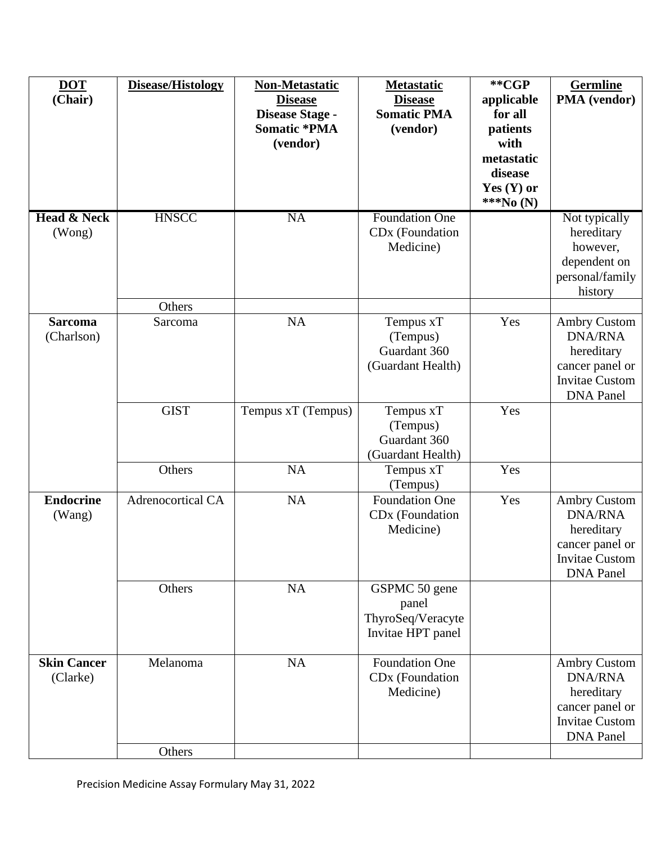| <b>DOT</b><br>(Chair)            | Disease/Histology        | <b>Non-Metastatic</b><br><b>Disease</b><br>Disease Stage -<br><b>Somatic *PMA</b><br>(vendor) | <b>Metastatic</b><br><b>Disease</b><br><b>Somatic PMA</b><br>(vendor) | **CGP<br>applicable<br>for all<br>patients<br>with<br>metastatic<br>disease<br>Yes $(Y)$ or<br>***No (N) | <b>Germline</b><br>PMA (vendor)                                                                                     |
|----------------------------------|--------------------------|-----------------------------------------------------------------------------------------------|-----------------------------------------------------------------------|----------------------------------------------------------------------------------------------------------|---------------------------------------------------------------------------------------------------------------------|
| <b>Head &amp; Neck</b><br>(Wong) | <b>HNSCC</b>             | <b>NA</b>                                                                                     | <b>Foundation One</b><br>CD <sub>x</sub> (Foundation<br>Medicine)     |                                                                                                          | Not typically<br>hereditary<br>however,<br>dependent on<br>personal/family<br>history                               |
| <b>Sarcoma</b><br>(Charlson)     | Others<br>Sarcoma        | <b>NA</b>                                                                                     | Tempus xT<br>(Tempus)<br>Guardant 360<br>(Guardant Health)            | Yes                                                                                                      | <b>Ambry Custom</b><br><b>DNA/RNA</b><br>hereditary<br>cancer panel or<br><b>Invitae Custom</b><br><b>DNA</b> Panel |
|                                  | <b>GIST</b>              | Tempus xT (Tempus)                                                                            | Tempus xT<br>(Tempus)<br>Guardant 360<br>(Guardant Health)            | Yes                                                                                                      |                                                                                                                     |
|                                  | Others                   | NA                                                                                            | Tempus xT<br>(Tempus)                                                 | Yes                                                                                                      |                                                                                                                     |
| <b>Endocrine</b><br>(Wang)       | <b>Adrenocortical CA</b> | <b>NA</b>                                                                                     | <b>Foundation One</b><br>CD <sub>x</sub> (Foundation<br>Medicine)     | Yes                                                                                                      | <b>Ambry Custom</b><br><b>DNA/RNA</b><br>hereditary<br>cancer panel or<br><b>Invitae Custom</b><br><b>DNA</b> Panel |
|                                  | Others                   | NA                                                                                            | GSPMC 50 gene<br>panel<br>ThyroSeq/Veracyte<br>Invitae HPT panel      |                                                                                                          |                                                                                                                     |
| <b>Skin Cancer</b><br>(Clarke)   | Melanoma                 | NA                                                                                            | <b>Foundation One</b><br>CD <sub>x</sub> (Foundation<br>Medicine)     |                                                                                                          | <b>Ambry Custom</b><br><b>DNA/RNA</b><br>hereditary<br>cancer panel or<br><b>Invitae Custom</b><br><b>DNA</b> Panel |
|                                  | Others                   |                                                                                               |                                                                       |                                                                                                          |                                                                                                                     |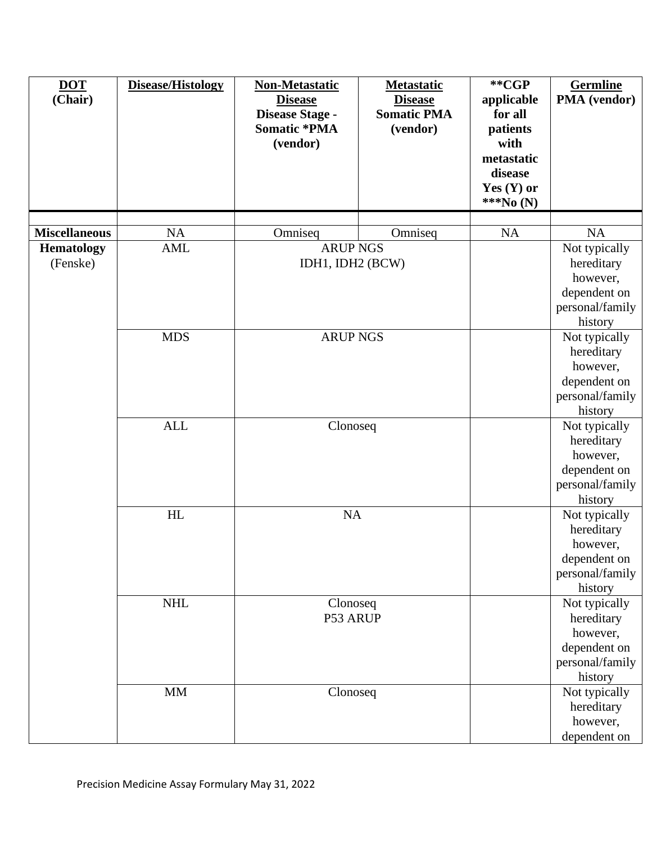| <b>DOT</b><br>(Chair)         | Disease/Histology | <b>Non-Metastatic</b><br><b>Disease</b><br>Disease Stage -<br><b>Somatic *PMA</b><br>(vendor) | <b>Metastatic</b><br><b>Disease</b><br><b>Somatic PMA</b><br>(vendor) | **CGP<br>applicable<br>for all<br>patients<br>with<br>metastatic<br>disease<br>Yes $(Y)$ or<br>***No (N) | <b>Germline</b><br>PMA (vendor)                                                       |
|-------------------------------|-------------------|-----------------------------------------------------------------------------------------------|-----------------------------------------------------------------------|----------------------------------------------------------------------------------------------------------|---------------------------------------------------------------------------------------|
|                               |                   |                                                                                               |                                                                       |                                                                                                          |                                                                                       |
| <b>Miscellaneous</b>          | NA                | Omniseq                                                                                       | Omniseq                                                               | NA                                                                                                       | NA                                                                                    |
| <b>Hematology</b><br>(Fenske) | AML               | <b>ARUP NGS</b><br>IDH1, IDH2 (BCW)<br><b>ARUP NGS</b><br>Clonoseq<br>NA                      |                                                                       |                                                                                                          | Not typically<br>hereditary<br>however,<br>dependent on<br>personal/family<br>history |
|                               | <b>MDS</b>        |                                                                                               |                                                                       |                                                                                                          | Not typically<br>hereditary<br>however,<br>dependent on<br>personal/family<br>history |
|                               | <b>ALL</b>        |                                                                                               |                                                                       |                                                                                                          | Not typically<br>hereditary<br>however,<br>dependent on<br>personal/family<br>history |
|                               | HL                |                                                                                               |                                                                       |                                                                                                          | Not typically<br>hereditary<br>however,<br>dependent on<br>personal/family<br>history |
|                               | <b>NHL</b>        | Clonoseq<br>P53 ARUP                                                                          |                                                                       |                                                                                                          | Not typically<br>hereditary<br>however,<br>dependent on<br>personal/family<br>history |
|                               | <b>MM</b>         | Clonoseq                                                                                      |                                                                       |                                                                                                          | Not typically<br>hereditary<br>however,<br>dependent on                               |